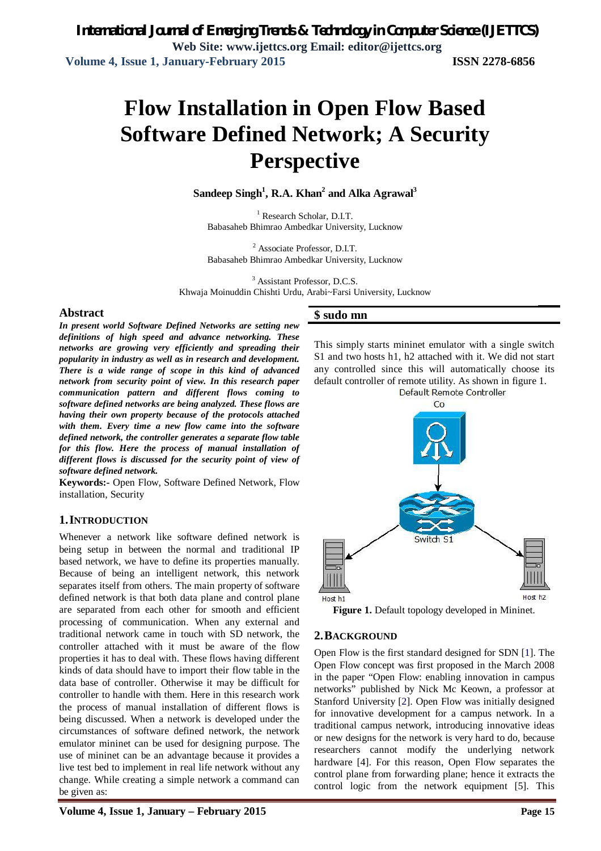# **Flow Installation in Open Flow Based Software Defined Network; A Security Perspective**

**Sandeep Singh<sup>1</sup> , R.A. Khan<sup>2</sup> and Alka Agrawal<sup>3</sup>**

<sup>1</sup> Research Scholar, D.I.T. Babasaheb Bhimrao Ambedkar University, Lucknow

<sup>2</sup> Associate Professor, D.I.T. Babasaheb Bhimrao Ambedkar University, Lucknow

<sup>3</sup> Assistant Professor, D.C.S.

Khwaja Moinuddin Chishti Urdu, Arabi~Farsi University, Lucknow

### **Abstract**

*In present world Software Defined Networks are setting new definitions of high speed and advance networking. These networks are growing very efficiently and spreading their popularity in industry as well as in research and development. There is a wide range of scope in this kind of advanced network from security point of view. In this research paper communication pattern and different flows coming to software defined networks are being analyzed. These flows are having their own property because of the protocols attached with them. Every time a new flow came into the software defined network, the controller generates a separate flow table for this flow. Here the process of manual installation of different flows is discussed for the security point of view of software defined network.*

**Keywords:-** Open Flow, Software Defined Network, Flow installation, Security

# **1.INTRODUCTION**

Whenever a network like software defined network is being setup in between the normal and traditional IP based network, we have to define its properties manually. Because of being an intelligent network, this network separates itself from others. The main property of software defined network is that both data plane and control plane are separated from each other for smooth and efficient processing of communication. When any external and traditional network came in touch with SD network, the controller attached with it must be aware of the flow properties it has to deal with. These flows having different kinds of data should have to import their flow table in the data base of controller. Otherwise it may be difficult for controller to handle with them. Here in this research work the process of manual installation of different flows is being discussed. When a network is developed under the circumstances of software defined network, the network emulator mininet can be used for designing purpose. The use of mininet can be an advantage because it provides a live test bed to implement in real life network without any change. While creating a simple network a command can be given as:

### **\$ sudo mn**

This simply starts mininet emulator with a single switch S1 and two hosts h1, h2 attached with it. We did not start any controlled since this will automatically choose its default controller of remote utility. As shown in figure 1.



**Figure 1.** Default topology developed in Mininet*.*

### **2.BACKGROUND**

Open Flow is the first standard designed for SDN [1]. The Open Flow concept was first proposed in the March 2008 in the paper "Open Flow: enabling innovation in campus networks" published by Nick Mc Keown, a professor at Stanford University [2]. Open Flow was initially designed for innovative development for a campus network. In a traditional campus network, introducing innovative ideas or new designs for the network is very hard to do, because researchers cannot modify the underlying network hardware [4]. For this reason, Open Flow separates the control plane from forwarding plane; hence it extracts the control logic from the network equipment [5]. This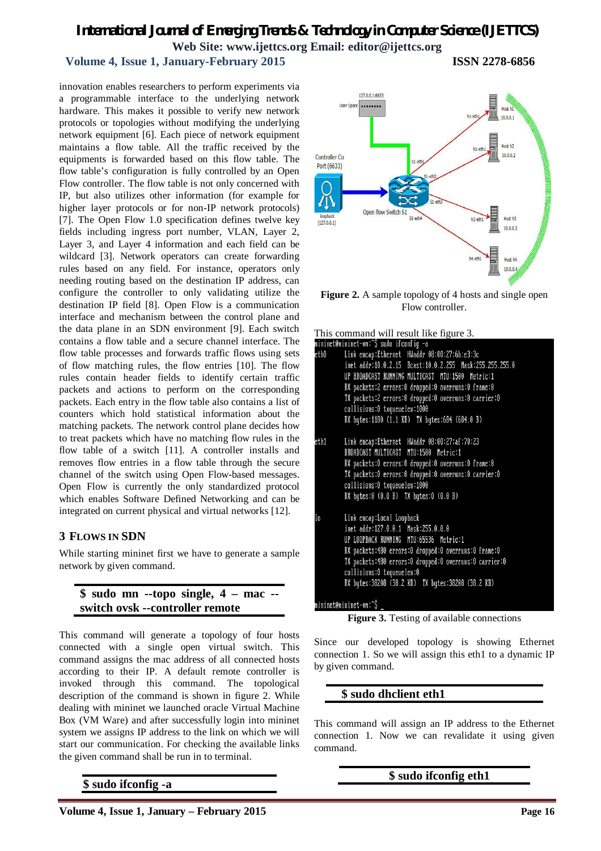# *International Journal of Emerging Trends & Technology in Computer Science (IJETTCS)* **Web Site: www.ijettcs.org Email: editor@ijettcs.org**

# **Volume 4, Issue 1, January-February 2015 ISSN 2278-6856**

innovation enables researchers to perform experiments via a programmable interface to the underlying network hardware. This makes it possible to verify new network protocols or topologies without modifying the underlying network equipment [6]. Each piece of network equipment maintains a flow table. All the traffic received by the equipments is forwarded based on this flow table. The flow table's configuration is fully controlled by an Open Flow controller. The flow table is not only concerned with IP, but also utilizes other information (for example for higher layer protocols or for non-IP network protocols) [7]. The Open Flow 1.0 specification defines twelve key fields including ingress port number, VLAN, Layer 2, Layer 3, and Layer 4 information and each field can be wildcard [3]. Network operators can create forwarding rules based on any field. For instance, operators only needing routing based on the destination IP address, can configure the controller to only validating utilize the destination IP field [8]. Open Flow is a communication interface and mechanism between the control plane and the data plane in an SDN environment [9]. Each switch contains a flow table and a secure channel interface. The flow table processes and forwards traffic flows using sets of flow matching rules, the flow entries [10]. The flow rules contain header fields to identify certain traffic packets and actions to perform on the corresponding packets. Each entry in the flow table also contains a list of counters which hold statistical information about the matching packets. The network control plane decides how to treat packets which have no matching flow rules in the flow table of a switch [11]. A controller installs and removes flow entries in a flow table through the secure channel of the switch using Open Flow-based messages. Open Flow is currently the only standardized protocol which enables Software Defined Networking and can be integrated on current physical and virtual networks [12].

# **3 FLOWS IN SDN**

While starting mininet first we have to generate a sample network by given command.

# **\$ sudo mn --topo single, 4 – mac - switch ovsk --controller remote**

This command will generate a topology of four hosts connected with a single open virtual switch. This command assigns the mac address of all connected hosts according to their IP. A default remote controller is invoked through this command. The topological description of the command is shown in figure 2. While dealing with mininet we launched oracle Virtual Machine Box (VM Ware) and after successfully login into mininet system we assigns IP address to the link on which we will start our communication. For checking the available links the given command shall be run in to terminal.

**\$ sudo ifconfig -a**



**Figure 2.** A sample topology of 4 hosts and single open Flow controller.

| This command will result like figure 3. |  |  |  |  |  |
|-----------------------------------------|--|--|--|--|--|
|-----------------------------------------|--|--|--|--|--|

|      | nininet@nininet-vn:~\$ sudo ifconfig -a                 |
|------|---------------------------------------------------------|
| eth0 | Link encap:Ethernet HWaddr 08:00:27:6b:e3:3c            |
|      | inet addr:10.0.2.15 Bcast:10.0.2.255 Mask:255.255.255.0 |
|      | UP BROADCAST RUNNING MULTICAST MTU:1500 Metric:1        |
|      | RX packets:2 errors:0 dropped:0 overruns:0 frame:0      |
|      | TX packets:2 errors:0 dropped:0 overruns:0 carrier:0    |
|      | collisions:0 txqueuelen:1000                            |
|      | RX bytes:1180 (1.1 KB) TX bytes:684 (684.0 B)           |
| eth1 | Link encap:Ethernet HWaddr 08:00:27:af:70:23            |
|      | BROADCAST MULTICAST MTU:1500 Metric:1                   |
|      | RX packets:0 errors:0 dropped:0 overruns:0 frame:0      |
|      | TX packets:0 errors:0 dropped:0 overruns:0 carrier:0    |
|      | collisions:0 txqueuelen:1000                            |
|      | RX bytes:0 (0.0 B) TX bytes:0 (0.0 B)                   |
| lo.  | Link encap:Local Loopback                               |
|      | inet addr:127.0.0.1 Mask:255.0.0.0                      |
|      | UP LOOPBACK RUNNING MTU:65536 Metric:1                  |
|      | RX packets:480 errors:0 dropped:0 overruns:0 frame:0    |
|      | TX packets:480 errors:0 dropped:0 overruns:0 carrier:0  |
|      | collisions:0 txqueuelen:0                               |
|      | RX bytes:38208 (38.2 KB) TX bytes:38208 (38.2 KB)       |
|      | mininet@mininet-vm:~\$ _                                |
|      |                                                         |

**Figure 3.** Testing of available connections

Since our developed topology is showing Ethernet connection 1. So we will assign this eth1 to a dynamic IP by given command.

### **\$ sudo dhclient eth1**

This command will assign an IP address to the Ethernet connection 1. Now we can revalidate it using given command.

**\$ sudo ifconfig eth1**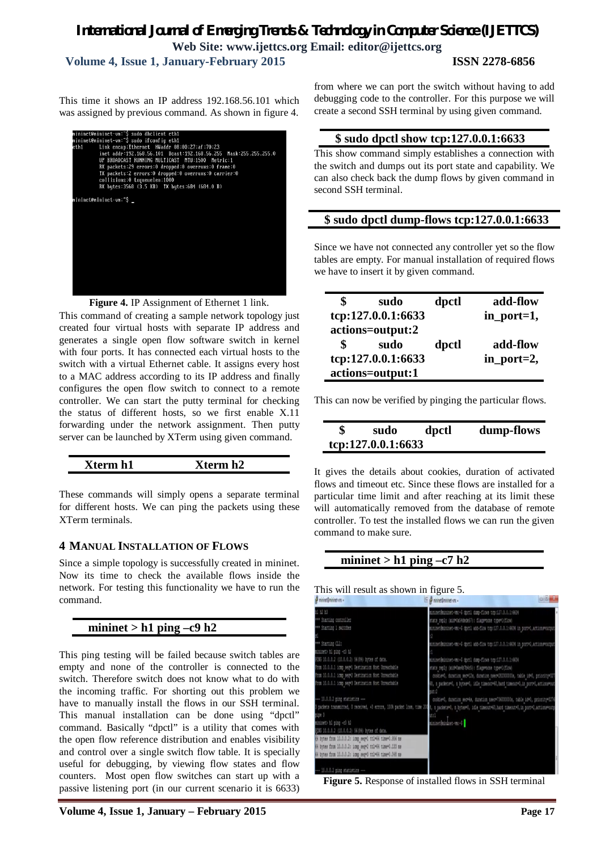# *International Journal of Emerging Trends & Technology in Computer Science (IJETTCS)* **Web Site: www.ijettcs.org Email: editor@ijettcs.org Volume 4, Issue 1, January-February 2015 ISSN 2278-6856**

This time it shows an IP address 192.168.56.101 which was assigned by previous command. As shown in figure 4.



Figure 4. IP Assignment of Ethernet 1 link.

This command of creating a sample network topology just created four virtual hosts with separate IP address and generates a single open flow software switch in kernel with four ports. It has connected each virtual hosts to the switch with a virtual Ethernet cable. It assigns every host to a MAC address according to its IP address and finally configures the open flow switch to connect to a remote controller. We can start the putty terminal for checking the status of different hosts, so we first enable X.11 forwarding under the network assignment. Then putty server can be launched by XTerm using given command.

| -<br>n I<br>n∠ |  |
|----------------|--|
|----------------|--|

These commands will simply opens a separate terminal for different hosts. We can ping the packets using these XTerm terminals.

# **4 MANUAL INSTALLATION OF FLOWS**

Since a simple topology is successfully created in mininet. Now its time to check the available flows inside the network. For testing this functionality we have to run the command.

# **mininet > h1 ping –c9 h2**

This ping testing will be failed because switch tables are empty and none of the controller is connected to the switch. Therefore switch does not know what to do with the incoming traffic. For shorting out this problem we have to manually install the flows in our SSH terminal. This manual installation can be done using "dpctl" command. Basically "dpctl" is a utility that comes with the open flow reference distribution and enables visibility and control over a single switch flow table. It is specially useful for debugging, by viewing flow states and flow counters. Most open flow switches can start up with a passive listening port (in our current scenario it is 6633)

from where we can port the switch without having to add debugging code to the controller. For this purpose we will create a second SSH terminal by using given command.

## **\$ sudo dpctl show tcp:127.0.0.1:6633**

This show command simply establishes a connection with the switch and dumps out its port state and capability. We can also check back the dump flows by given command in second SSH terminal.

### **\$ sudo dpctl dump-flows tcp:127.0.0.1:6633**

Since we have not connected any controller yet so the flow tables are empty. For manual installation of required flows we have to insert it by given command.

| \$<br>sudo         | dpctl | add-flow   |
|--------------------|-------|------------|
| tcp:127.0.0.1:6633 |       | in_port=1, |
| actions=output:2   |       |            |
| \$<br>sudo         | dpctl | add-flow   |
| tcp:127.0.0.1:6633 |       | in_port=2, |
| actions=output:1   |       |            |

This can now be verified by pinging the particular flows.

| \$<br>sudo         | dpctl | dump-flows |
|--------------------|-------|------------|
| tcp:127.0.0.1:6633 |       |            |

It gives the details about cookies, duration of activated flows and timeout etc. Since these flows are installed for a particular time limit and after reaching at its limit these will automatically removed from the database of remote controller. To test the installed flows we can run the given command to make sure.

# **mininet > h1 ping –c7 h2**

This will result as shown in figure 5.

| of mnnet@mnnet-um +                                                                                                                                          | of mnnet@mnnet-vm -                                                                 | <b>DIDENT</b> |
|--------------------------------------------------------------------------------------------------------------------------------------------------------------|-------------------------------------------------------------------------------------|---------------|
| h1 h2 h3                                                                                                                                                     | mininet@mininet-vm:-\$ dpctl dump-flows tcp:127.0.0.1:6634                          |               |
| *** Starting controller                                                                                                                                      | stats reply (xid=0x54dede57): flags=none type=1(flow)                               |               |
| *** Starting 1 switches                                                                                                                                      | mininet@mininet-vm:-\$ dpctl add-flow tcp:127.0.0.1:6634 in port=1,actions=output   |               |
|                                                                                                                                                              |                                                                                     |               |
| *** Starting CLI:                                                                                                                                            | mininet@mininet-vm:-\$ dpctl add-flow top:127.0.0.1:6634 in port=2,actions=output   |               |
| mininet> h1 ping -c3 h2                                                                                                                                      |                                                                                     |               |
| PING 10.0.0.2 (10.0.0.2) 56(84) bytes of data.                                                                                                               | mininet@mininet-vm:-\$ dpctl dump-flows tcp:127.0.0.1:6634                          |               |
| From 10.0.0.1 icmp seq=1 Destination Host Unreachable                                                                                                        | stats reply (xid=0xe4b7b4c5): flags=none type=1(flow)                               |               |
| From 10.0.0.1 icmp seq=2 Destination Host Unreachable                                                                                                        | cookie=0, duration sec=12s, duration nsec=282000000s, table id=0, priority=327      |               |
| From 10.0.0.1 icmp seq=3 Destination Host Unreachable                                                                                                        | 68, n packets=0, n bytes=0, idle timeout=60, hard timeout=0, in port=1, actions=cut |               |
|                                                                                                                                                              | put <sub>12</sub>                                                                   |               |
| --- 10.0.0.2 ping statistics ---                                                                                                                             | cookie=0, duration sec=4s, duration nsec=736000000s, table id=0, priority=3276      |               |
| 3 packets transmitted, 0 received, +3 errors, 100% packet loss, time 200 8, n packets*0, n bytes*0, idle timeout*60, hard timeout*0, in port*2, actions*outp |                                                                                     |               |
| pipe 3                                                                                                                                                       | ut : 1                                                                              |               |
| mininet> h1 ping -c3 h2                                                                                                                                      | mininet@mininet-vm: {                                                               |               |
| PING 10.0.0.2 (10.0.0.2) 56(84) bytes of data.                                                                                                               |                                                                                     |               |
| (4 bytes from 10.0.0.2: icmp seq=1 ttl=64 time=0.956 ms                                                                                                      |                                                                                     |               |
| 64 bytes from 10.0.0.2: icmp seq=2 ttl=64 time=0.133 ms                                                                                                      |                                                                                     |               |
| 64 bytes from 10.0.0.2: icmp seq=3 ttl=64 time=0.048 ms                                                                                                      |                                                                                     |               |
|                                                                                                                                                              |                                                                                     |               |
| --- 10.0.0.2 ping statistics ---                                                                                                                             |                                                                                     |               |

**Figure 5.** Response of installed flows in SSH terminal